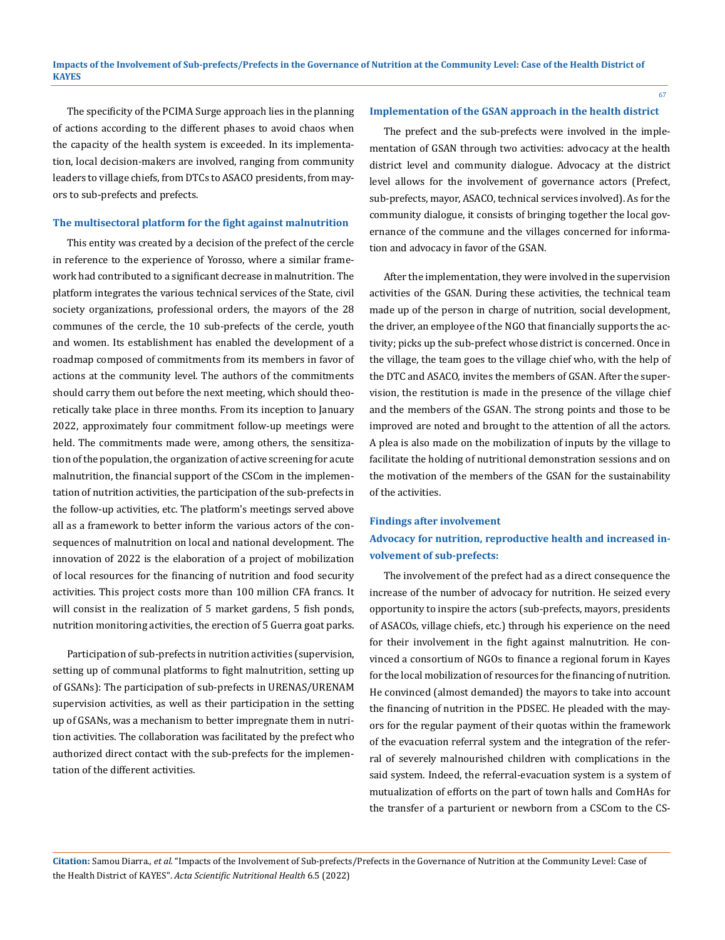The specificity of the PCIMA Surge approach lies in the planning of actions according to the different phases to avoid chaos when the capacity of the health system is exceeded. In its implementation, local decision-makers are involved, ranging from community leaders to village chiefs, from DTCs to ASACO presidents, from mayors to sub-prefects and prefects.

### **The multisectoral platform for the fight against malnutrition**

This entity was created by a decision of the prefect of the cercle in reference to the experience of Yorosso, where a similar framework had contributed to a significant decrease in malnutrition. The platform integrates the various technical services of the State, civil society organizations, professional orders, the mayors of the 28 communes of the cercle, the 10 sub-prefects of the cercle, youth and women. Its establishment has enabled the development of a roadmap composed of commitments from its members in favor of actions at the community level. The authors of the commitments should carry them out before the next meeting, which should theoretically take place in three months. From its inception to January 2022, approximately four commitment follow-up meetings were held. The commitments made were, among others, the sensitization of the population, the organization of active screening for acute malnutrition, the financial support of the CSCom in the implementation of nutrition activities, the participation of the sub-prefects in the follow-up activities, etc. The platform's meetings served above all as a framework to better inform the various actors of the consequences of malnutrition on local and national development. The innovation of 2022 is the elaboration of a project of mobilization of local resources for the financing of nutrition and food security activities. This project costs more than 100 million CFA francs. It will consist in the realization of 5 market gardens, 5 fish ponds, nutrition monitoring activities, the erection of 5 Guerra goat parks.

Participation of sub-prefects in nutrition activities (supervision, setting up of communal platforms to fight malnutrition, setting up of GSANs): The participation of sub-prefects in URENAS/URENAM supervision activities, as well as their participation in the setting up of GSANs, was a mechanism to better impregnate them in nutrition activities. The collaboration was facilitated by the prefect who authorized direct contact with the sub-prefects for the implementation of the different activities.

#### **Implementation of the GSAN approach in the health district**

The prefect and the sub-prefects were involved in the implementation of GSAN through two activities: advocacy at the health district level and community dialogue. Advocacy at the district level allows for the involvement of governance actors (Prefect, sub-prefects, mayor, ASACO, technical services involved). As for the community dialogue, it consists of bringing together the local governance of the commune and the villages concerned for information and advocacy in favor of the GSAN.

After the implementation, they were involved in the supervision activities of the GSAN. During these activities, the technical team made up of the person in charge of nutrition, social development, the driver, an employee of the NGO that financially supports the activity; picks up the sub-prefect whose district is concerned. Once in the village, the team goes to the village chief who, with the help of the DTC and ASACO, invites the members of GSAN. After the supervision, the restitution is made in the presence of the village chief and the members of the GSAN. The strong points and those to be improved are noted and brought to the attention of all the actors. A plea is also made on the mobilization of inputs by the village to facilitate the holding of nutritional demonstration sessions and on the motivation of the members of the GSAN for the sustainability of the activities.

### **Findings after involvement**

# **Advocacy for nutrition, reproductive health and increased involvement of sub-prefects:**

The involvement of the prefect had as a direct consequence the increase of the number of advocacy for nutrition. He seized every opportunity to inspire the actors (sub-prefects, mayors, presidents of ASACOs, village chiefs, etc.) through his experience on the need for their involvement in the fight against malnutrition. He convinced a consortium of NGOs to finance a regional forum in Kayes for the local mobilization of resources for the financing of nutrition. He convinced (almost demanded) the mayors to take into account the financing of nutrition in the PDSEC. He pleaded with the mayors for the regular payment of their quotas within the framework of the evacuation referral system and the integration of the referral of severely malnourished children with complications in the said system. Indeed, the referral-evacuation system is a system of mutualization of efforts on the part of town halls and ComHAs for the transfer of a parturient or newborn from a CSCom to the CS-

**Citation:** Samou Diarra*., et al.* "Impacts of the Involvement of Sub-prefects/Prefects in the Governance of Nutrition at the Community Level: Case of the Health District of KAYES". *Acta Scientific Nutritional Health* 6.5 (2022): 63-72.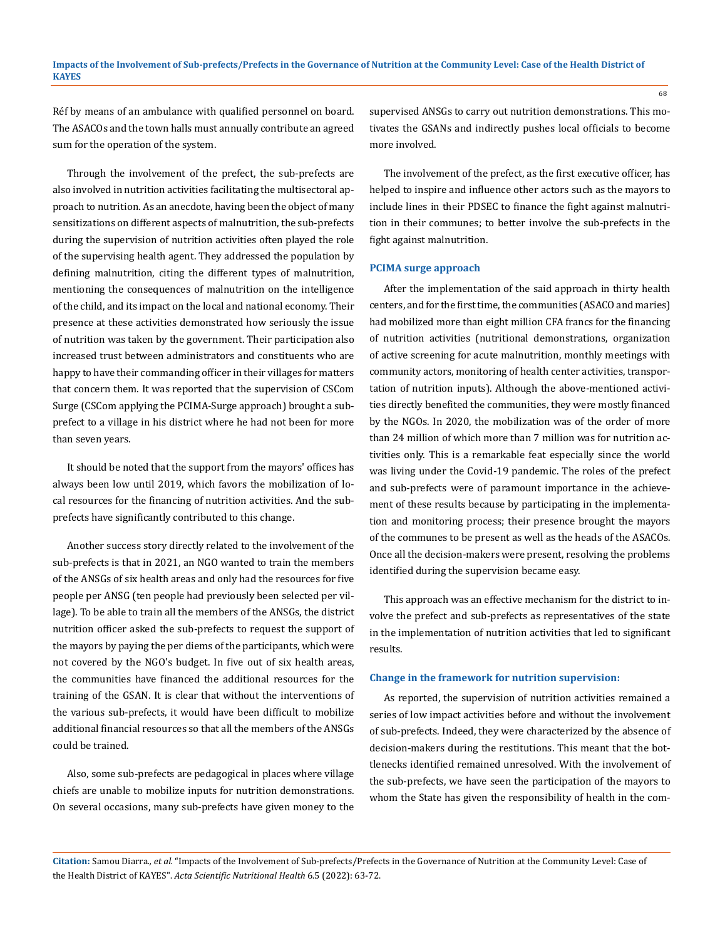Réf by means of an ambulance with qualified personnel on board. The ASACOs and the town halls must annually contribute an agreed sum for the operation of the system.

Through the involvement of the prefect, the sub-prefects are also involved in nutrition activities facilitating the multisectoral approach to nutrition. As an anecdote, having been the object of many sensitizations on different aspects of malnutrition, the sub-prefects during the supervision of nutrition activities often played the role of the supervising health agent. They addressed the population by defining malnutrition, citing the different types of malnutrition, mentioning the consequences of malnutrition on the intelligence of the child, and its impact on the local and national economy. Their presence at these activities demonstrated how seriously the issue of nutrition was taken by the government. Their participation also increased trust between administrators and constituents who are happy to have their commanding officer in their villages for matters that concern them. It was reported that the supervision of CSCom Surge (CSCom applying the PCIMA-Surge approach) brought a subprefect to a village in his district where he had not been for more than seven years.

It should be noted that the support from the mayors' offices has always been low until 2019, which favors the mobilization of local resources for the financing of nutrition activities. And the subprefects have significantly contributed to this change.

Another success story directly related to the involvement of the sub-prefects is that in 2021, an NGO wanted to train the members of the ANSGs of six health areas and only had the resources for five people per ANSG (ten people had previously been selected per village). To be able to train all the members of the ANSGs, the district nutrition officer asked the sub-prefects to request the support of the mayors by paying the per diems of the participants, which were not covered by the NGO's budget. In five out of six health areas, the communities have financed the additional resources for the training of the GSAN. It is clear that without the interventions of the various sub-prefects, it would have been difficult to mobilize additional financial resources so that all the members of the ANSGs could be trained.

Also, some sub-prefects are pedagogical in places where village chiefs are unable to mobilize inputs for nutrition demonstrations. On several occasions, many sub-prefects have given money to the supervised ANSGs to carry out nutrition demonstrations. This motivates the GSANs and indirectly pushes local officials to become more involved.

The involvement of the prefect, as the first executive officer, has helped to inspire and influence other actors such as the mayors to include lines in their PDSEC to finance the fight against malnutrition in their communes; to better involve the sub-prefects in the fight against malnutrition.

#### **PCIMA surge approach**

After the implementation of the said approach in thirty health centers, and for the first time, the communities (ASACO and maries) had mobilized more than eight million CFA francs for the financing of nutrition activities (nutritional demonstrations, organization of active screening for acute malnutrition, monthly meetings with community actors, monitoring of health center activities, transportation of nutrition inputs). Although the above-mentioned activities directly benefited the communities, they were mostly financed by the NGOs. In 2020, the mobilization was of the order of more than 24 million of which more than 7 million was for nutrition activities only. This is a remarkable feat especially since the world was living under the Covid-19 pandemic. The roles of the prefect and sub-prefects were of paramount importance in the achievement of these results because by participating in the implementation and monitoring process; their presence brought the mayors of the communes to be present as well as the heads of the ASACOs. Once all the decision-makers were present, resolving the problems identified during the supervision became easy.

This approach was an effective mechanism for the district to involve the prefect and sub-prefects as representatives of the state in the implementation of nutrition activities that led to significant results.

#### **Change in the framework for nutrition supervision:**

As reported, the supervision of nutrition activities remained a series of low impact activities before and without the involvement of sub-prefects. Indeed, they were characterized by the absence of decision-makers during the restitutions. This meant that the bottlenecks identified remained unresolved. With the involvement of the sub-prefects, we have seen the participation of the mayors to whom the State has given the responsibility of health in the com-

**Citation:** Samou Diarra*., et al.* "Impacts of the Involvement of Sub-prefects/Prefects in the Governance of Nutrition at the Community Level: Case of the Health District of KAYES". *Acta Scientific Nutritional Health* 6.5 (2022): 63-72.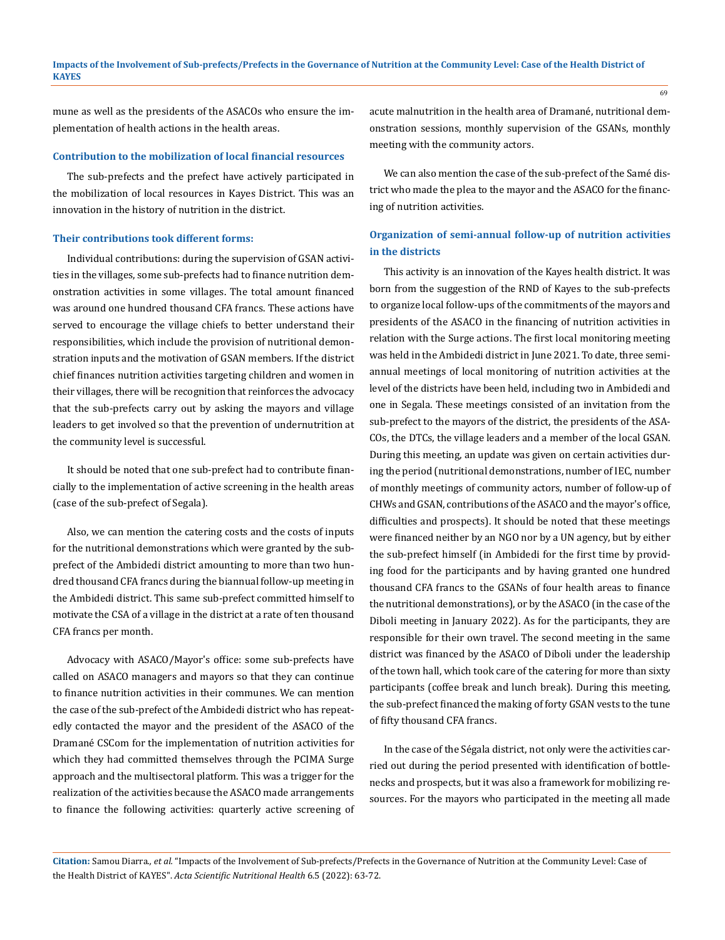mune as well as the presidents of the ASACOs who ensure the implementation of health actions in the health areas.

## **Contribution to the mobilization of local financial resources**

The sub-prefects and the prefect have actively participated in the mobilization of local resources in Kayes District. This was an innovation in the history of nutrition in the district.

### **Their contributions took different forms:**

Individual contributions: during the supervision of GSAN activities in the villages, some sub-prefects had to finance nutrition demonstration activities in some villages. The total amount financed was around one hundred thousand CFA francs. These actions have served to encourage the village chiefs to better understand their responsibilities, which include the provision of nutritional demonstration inputs and the motivation of GSAN members. If the district chief finances nutrition activities targeting children and women in their villages, there will be recognition that reinforces the advocacy that the sub-prefects carry out by asking the mayors and village leaders to get involved so that the prevention of undernutrition at the community level is successful.

It should be noted that one sub-prefect had to contribute financially to the implementation of active screening in the health areas (case of the sub-prefect of Segala).

Also, we can mention the catering costs and the costs of inputs for the nutritional demonstrations which were granted by the subprefect of the Ambidedi district amounting to more than two hundred thousand CFA francs during the biannual follow-up meeting in the Ambidedi district. This same sub-prefect committed himself to motivate the CSA of a village in the district at a rate of ten thousand CFA francs per month.

Advocacy with ASACO/Mayor's office: some sub-prefects have called on ASACO managers and mayors so that they can continue to finance nutrition activities in their communes. We can mention the case of the sub-prefect of the Ambidedi district who has repeatedly contacted the mayor and the president of the ASACO of the Dramané CSCom for the implementation of nutrition activities for which they had committed themselves through the PCIMA Surge approach and the multisectoral platform. This was a trigger for the realization of the activities because the ASACO made arrangements to finance the following activities: quarterly active screening of acute malnutrition in the health area of Dramané, nutritional demonstration sessions, monthly supervision of the GSANs, monthly meeting with the community actors.

We can also mention the case of the sub-prefect of the Samé district who made the plea to the mayor and the ASACO for the financing of nutrition activities.

# **Organization of semi-annual follow-up of nutrition activities in the districts**

This activity is an innovation of the Kayes health district. It was born from the suggestion of the RND of Kayes to the sub-prefects to organize local follow-ups of the commitments of the mayors and presidents of the ASACO in the financing of nutrition activities in relation with the Surge actions. The first local monitoring meeting was held in the Ambidedi district in June 2021. To date, three semiannual meetings of local monitoring of nutrition activities at the level of the districts have been held, including two in Ambidedi and one in Segala. These meetings consisted of an invitation from the sub-prefect to the mayors of the district, the presidents of the ASA-COs, the DTCs, the village leaders and a member of the local GSAN. During this meeting, an update was given on certain activities during the period (nutritional demonstrations, number of IEC, number of monthly meetings of community actors, number of follow-up of CHWs and GSAN, contributions of the ASACO and the mayor's office, difficulties and prospects). It should be noted that these meetings were financed neither by an NGO nor by a UN agency, but by either the sub-prefect himself (in Ambidedi for the first time by providing food for the participants and by having granted one hundred thousand CFA francs to the GSANs of four health areas to finance the nutritional demonstrations), or by the ASACO (in the case of the Diboli meeting in January 2022). As for the participants, they are responsible for their own travel. The second meeting in the same district was financed by the ASACO of Diboli under the leadership of the town hall, which took care of the catering for more than sixty participants (coffee break and lunch break). During this meeting, the sub-prefect financed the making of forty GSAN vests to the tune of fifty thousand CFA francs.

In the case of the Ségala district, not only were the activities carried out during the period presented with identification of bottlenecks and prospects, but it was also a framework for mobilizing resources. For the mayors who participated in the meeting all made

**Citation:** Samou Diarra*., et al.* "Impacts of the Involvement of Sub-prefects/Prefects in the Governance of Nutrition at the Community Level: Case of the Health District of KAYES". *Acta Scientific Nutritional Health* 6.5 (2022): 63-72.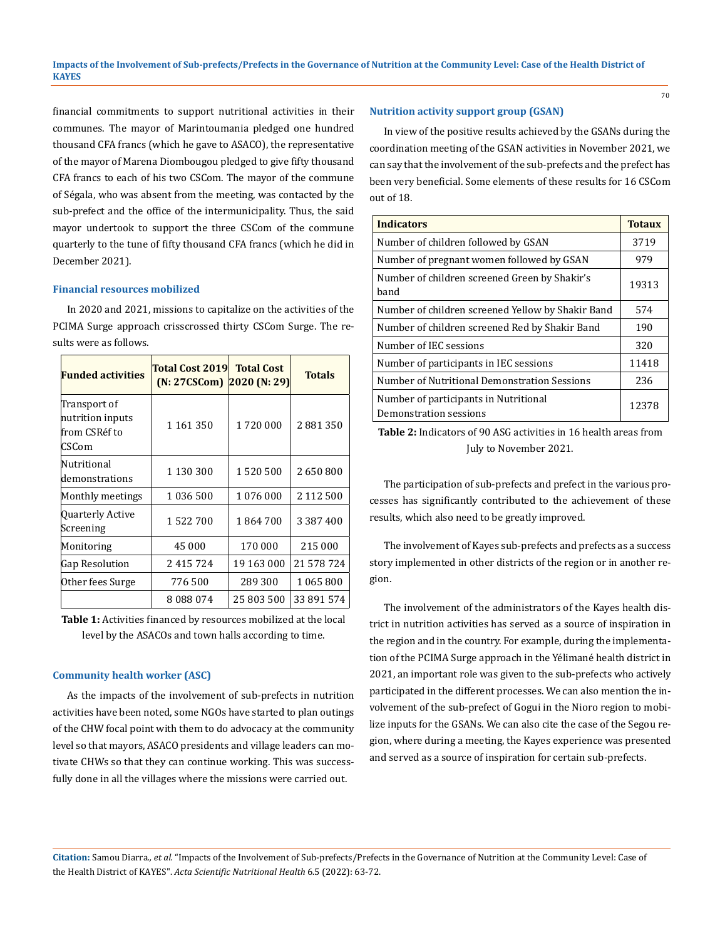financial commitments to support nutritional activities in their communes. The mayor of Marintoumania pledged one hundred thousand CFA francs (which he gave to ASACO), the representative of the mayor of Marena Diombougou pledged to give fifty thousand CFA francs to each of his two CSCom. The mayor of the commune of Ségala, who was absent from the meeting, was contacted by the sub-prefect and the office of the intermunicipality. Thus, the said mayor undertook to support the three CSCom of the commune quarterly to the tune of fifty thousand CFA francs (which he did in December 2021).

### **Financial resources mobilized**

In 2020 and 2021, missions to capitalize on the activities of the PCIMA Surge approach crisscrossed thirty CSCom Surge. The results were as follows.

| <b>Funded activities</b>                                    | <b>Total Cost 2019</b><br>$(N: 27CSCom)$ 2020 $(N: 29)$ | <b>Total Cost</b> | <b>Totals</b> |
|-------------------------------------------------------------|---------------------------------------------------------|-------------------|---------------|
| Transport of<br>nutrition inputs<br>from CSRéf to<br>ICSCom | 1 1 6 1 3 5 0                                           | 1720 000          | 2881350       |
| Nutritional<br>demonstrations                               | 1 130 300                                               | 1520500           | 2650800       |
| Monthly meetings                                            | 1 036 500                                               | 1 076 000         | 2 112 500     |
| Quarterly Active<br>Screening                               | 1 522 700                                               | 1864700           | 3 3 8 7 4 0 0 |
| Monitoring                                                  | 45 000                                                  | 170 000           | 215 000       |
| Gap Resolution                                              | 2415724                                                 | 19 163 000        | 21 578 724    |
| Other fees Surge                                            | 776500                                                  | 289 300           | 1 065 800     |
|                                                             | 8088074                                                 | 25 803 500        | 33 891 574    |

**Table 1:** Activities financed by resources mobilized at the local level by the ASACOs and town halls according to time.

#### **Community health worker (ASC)**

As the impacts of the involvement of sub-prefects in nutrition activities have been noted, some NGOs have started to plan outings of the CHW focal point with them to do advocacy at the community level so that mayors, ASACO presidents and village leaders can motivate CHWs so that they can continue working. This was successfully done in all the villages where the missions were carried out.

### **Nutrition activity support group (GSAN)**

In view of the positive results achieved by the GSANs during the coordination meeting of the GSAN activities in November 2021, we can say that the involvement of the sub-prefects and the prefect has been very beneficial. Some elements of these results for 16 CSCom out of 18.

| <b>Indicators</b>                                               | <b>Totaux</b> |
|-----------------------------------------------------------------|---------------|
| Number of children followed by GSAN                             | 3719          |
| Number of pregnant women followed by GSAN                       | 979           |
| Number of children screened Green by Shakir's<br>band           | 19313         |
| Number of children screened Yellow by Shakir Band               | 574           |
| Number of children screened Red by Shakir Band                  | 190           |
| Number of IEC sessions                                          | 320           |
| Number of participants in IEC sessions                          | 11418         |
| Number of Nutritional Demonstration Sessions                    | 236           |
| Number of participants in Nutritional<br>Demonstration sessions | 12378         |

**Table 2:** Indicators of 90 ASG activities in 16 health areas from July to November 2021.

The participation of sub-prefects and prefect in the various processes has significantly contributed to the achievement of these results, which also need to be greatly improved.

The involvement of Kayes sub-prefects and prefects as a success story implemented in other districts of the region or in another region.

The involvement of the administrators of the Kayes health district in nutrition activities has served as a source of inspiration in the region and in the country. For example, during the implementation of the PCIMA Surge approach in the Yélimané health district in 2021, an important role was given to the sub-prefects who actively participated in the different processes. We can also mention the involvement of the sub-prefect of Gogui in the Nioro region to mobilize inputs for the GSANs. We can also cite the case of the Segou region, where during a meeting, the Kayes experience was presented and served as a source of inspiration for certain sub-prefects.

**Citation:** Samou Diarra*., et al.* "Impacts of the Involvement of Sub-prefects/Prefects in the Governance of Nutrition at the Community Level: Case of the Health District of KAYES". *Acta Scientific Nutritional Health* 6.5 (2022): 63-72.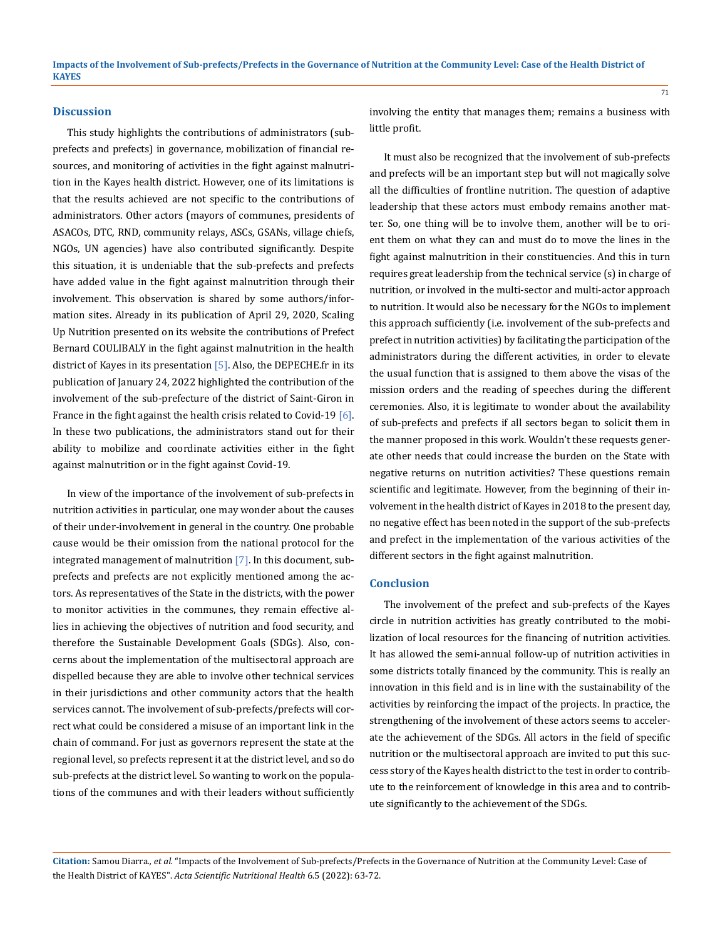# **Discussion**

This study highlights the contributions of administrators (subprefects and prefects) in governance, mobilization of financial resources, and monitoring of activities in the fight against malnutrition in the Kayes health district. However, one of its limitations is that the results achieved are not specific to the contributions of administrators. Other actors (mayors of communes, presidents of ASACOs, DTC, RND, community relays, ASCs, GSANs, village chiefs, NGOs, UN agencies) have also contributed significantly. Despite this situation, it is undeniable that the sub-prefects and prefects have added value in the fight against malnutrition through their involvement. This observation is shared by some authors/information sites. Already in its publication of April 29, 2020, Scaling Up Nutrition presented on its website the contributions of Prefect Bernard COULIBALY in the fight against malnutrition in the health district of Kayes in its presentation  $[5]$ . Also, the DEPECHE.fr in its publication of January 24, 2022 highlighted the contribution of the involvement of the sub-prefecture of the district of Saint-Giron in France in the fight against the health crisis related to Covid-19 [6]. In these two publications, the administrators stand out for their ability to mobilize and coordinate activities either in the fight against malnutrition or in the fight against Covid-19.

In view of the importance of the involvement of sub-prefects in nutrition activities in particular, one may wonder about the causes of their under-involvement in general in the country. One probable cause would be their omission from the national protocol for the integrated management of malnutrition [7]. In this document, subprefects and prefects are not explicitly mentioned among the actors. As representatives of the State in the districts, with the power to monitor activities in the communes, they remain effective allies in achieving the objectives of nutrition and food security, and therefore the Sustainable Development Goals (SDGs). Also, concerns about the implementation of the multisectoral approach are dispelled because they are able to involve other technical services in their jurisdictions and other community actors that the health services cannot. The involvement of sub-prefects/prefects will correct what could be considered a misuse of an important link in the chain of command. For just as governors represent the state at the regional level, so prefects represent it at the district level, and so do sub-prefects at the district level. So wanting to work on the populations of the communes and with their leaders without sufficiently involving the entity that manages them; remains a business with little profit.

It must also be recognized that the involvement of sub-prefects and prefects will be an important step but will not magically solve all the difficulties of frontline nutrition. The question of adaptive leadership that these actors must embody remains another matter. So, one thing will be to involve them, another will be to orient them on what they can and must do to move the lines in the fight against malnutrition in their constituencies. And this in turn requires great leadership from the technical service (s) in charge of nutrition, or involved in the multi-sector and multi-actor approach to nutrition. It would also be necessary for the NGOs to implement this approach sufficiently (i.e. involvement of the sub-prefects and prefect in nutrition activities) by facilitating the participation of the administrators during the different activities, in order to elevate the usual function that is assigned to them above the visas of the mission orders and the reading of speeches during the different ceremonies. Also, it is legitimate to wonder about the availability of sub-prefects and prefects if all sectors began to solicit them in the manner proposed in this work. Wouldn't these requests generate other needs that could increase the burden on the State with negative returns on nutrition activities? These questions remain scientific and legitimate. However, from the beginning of their involvement in the health district of Kayes in 2018 to the present day, no negative effect has been noted in the support of the sub-prefects and prefect in the implementation of the various activities of the different sectors in the fight against malnutrition.

### **Conclusion**

The involvement of the prefect and sub-prefects of the Kayes circle in nutrition activities has greatly contributed to the mobilization of local resources for the financing of nutrition activities. It has allowed the semi-annual follow-up of nutrition activities in some districts totally financed by the community. This is really an innovation in this field and is in line with the sustainability of the activities by reinforcing the impact of the projects. In practice, the strengthening of the involvement of these actors seems to accelerate the achievement of the SDGs. All actors in the field of specific nutrition or the multisectoral approach are invited to put this success story of the Kayes health district to the test in order to contribute to the reinforcement of knowledge in this area and to contribute significantly to the achievement of the SDGs.

**Citation:** Samou Diarra*., et al.* "Impacts of the Involvement of Sub-prefects/Prefects in the Governance of Nutrition at the Community Level: Case of the Health District of KAYES". *Acta Scientific Nutritional Health* 6.5 (2022): 63-72.